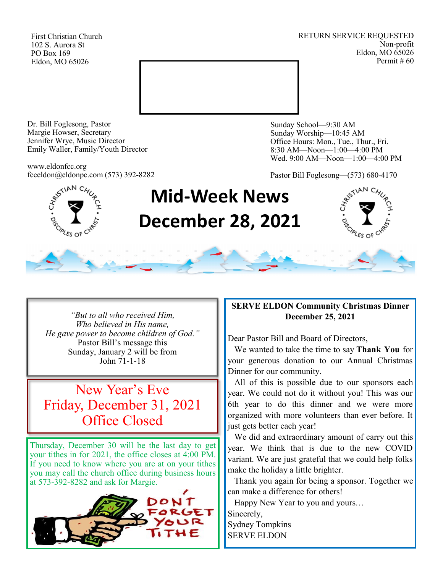First Christian Church 102 S. Aurora St PO Box 169 Eldon, MO 65026

RETURN SERVICE REQUESTED Non-profit Eldon, MO 65026 Permit # 60



Dr. Bill Foglesong, Pastor Margie Howser, Secretary Jennifer Wrye, Music Director Emily Waller, Family/Youth Director

www.eldonfcc.org fcceldon@eldonpc.com (573) 392-8282 Sunday School—9:30 AM Sunday Worship—10:45 AM Office Hours: Mon., Tue., Thur., Fri. 8:30 AM—Noon—1:00—4:00 PM Wed. 9:00 AM—Noon—1:00—4:00 PM

Pastor Bill Foglesong—(573) 680-4170



# **Mid-Week News December 28, 2021**



*"But to all who received Him, Who believed in His name, He gave power to become children of God."* Pastor Bill's message this Sunday, January 2 will be from John 71-1-18

# New Year's Eve Friday, December 31, 2021 Office Closed

Thursday, December 30 will be the last day to get your tithes in for 2021, the office closes at 4:00 PM. If you need to know where you are at on your tithes you may call the church office during business hours at 573-392-8282 and ask for Margie.



## **SERVE ELDON Community Christmas Dinner December 25, 2021**

Dear Pastor Bill and Board of Directors,

 We wanted to take the time to say **Thank You** for your generous donation to our Annual Christmas Dinner for our community.

 All of this is possible due to our sponsors each year. We could not do it without you! This was our 6th year to do this dinner and we were more organized with more volunteers than ever before. It just gets better each year!

 We did and extraordinary amount of carry out this year. We think that is due to the new COVID variant. We are just grateful that we could help folks make the holiday a little brighter.

 Thank you again for being a sponsor. Together we can make a difference for others!

Happy New Year to you and yours…

Sincerely,

Sydney Tompkins SERVE ELDON